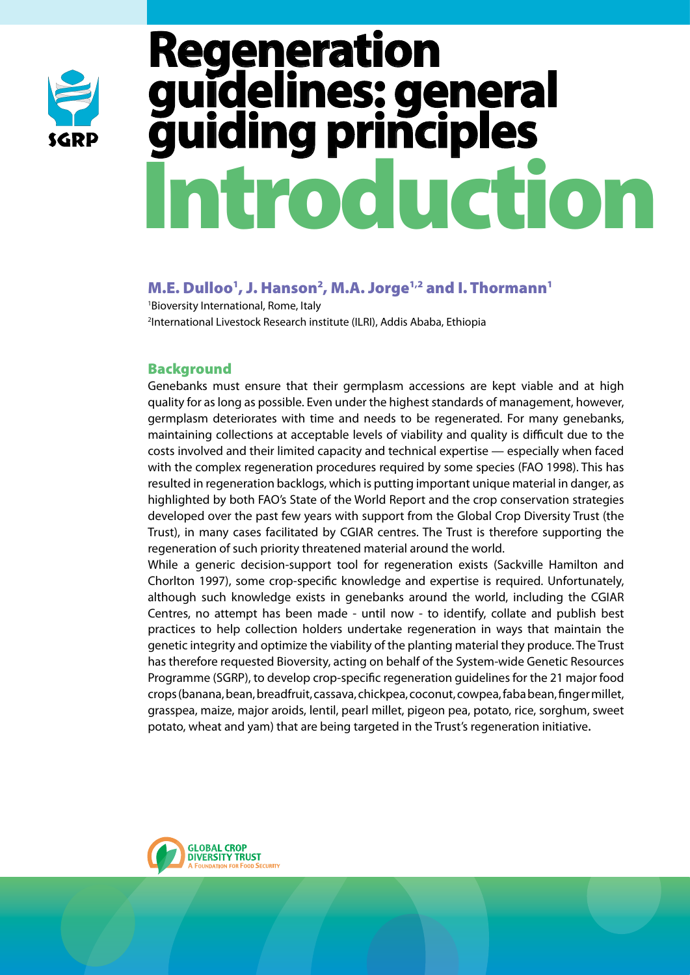

# Introduction **generation<br>idelines: general idelines: guiding principles**

# M.E. Dulloo<sup>1</sup>, J. Hanson<sup>2</sup>, M.A. Jorge<sup>1,2</sup> and I. Thormann<sup>1</sup>

1 Bioversity International, Rome, Italy 2 International Livestock Research institute (ILRI), Addis Ababa, Ethiopia

## **Background**

Genebanks must ensure that their germplasm accessions are kept viable and at high quality for as long as possible. Even under the highest standards of management, however, germplasm deteriorates with time and needs to be regenerated. For many genebanks, maintaining collections at acceptable levels of viability and quality is difficult due to the costs involved and their limited capacity and technical expertise — especially when faced with the complex regeneration procedures required by some species (FAO 1998). This has resulted in regeneration backlogs, which is putting important unique material in danger, as highlighted by both FAO's State of the World Report and the crop conservation strategies developed over the past few years with support from the Global Crop Diversity Trust (the Trust), in many cases facilitated by CGIAR centres. The Trust is therefore supporting the regeneration of such priority threatened material around the world.

While a generic decision-support tool for regeneration exists (Sackville Hamilton and Chorlton 1997), some crop-specific knowledge and expertise is required. Unfortunately, although such knowledge exists in genebanks around the world, including the CGIAR Centres, no attempt has been made - until now - to identify, collate and publish best practices to help collection holders undertake regeneration in ways that maintain the genetic integrity and optimize the viability of the planting material they produce. The Trust has therefore requested Bioversity, acting on behalf of the System-wide Genetic Resources Programme (SGRP), to develop crop-specific regeneration guidelines for the 21 major food crops (banana, bean, breadfruit, cassava, chickpea, coconut, cowpea, faba bean, finger millet, grasspea, maize, major aroids, lentil, pearl millet, pigeon pea, potato, rice, sorghum, sweet potato, wheat and yam) that are being targeted in the Trust's regeneration initiative.

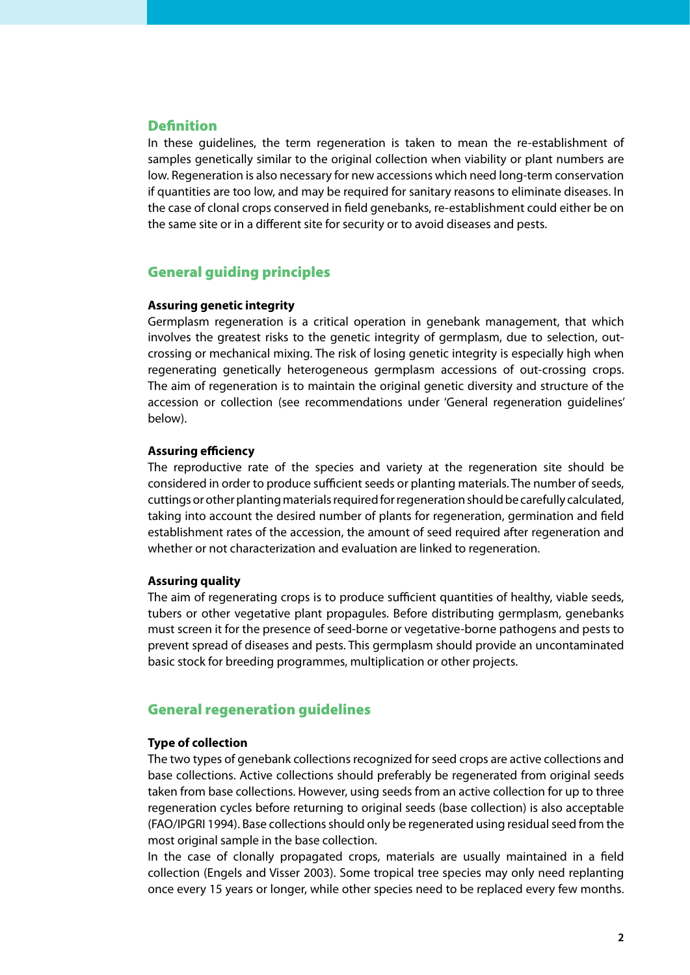## **Definition**

In these guidelines, the term regeneration is taken to mean the re-establishment of samples genetically similar to the original collection when viability or plant numbers are low. Regeneration is also necessary for new accessions which need long-term conservation if quantities are too low, and may be required for sanitary reasons to eliminate diseases. In the case of clonal crops conserved in field genebanks, re-establishment could either be on the same site or in a different site for security or to avoid diseases and pests.

## General guiding principles

#### **Assuring genetic integrity**

Germplasm regeneration is a critical operation in genebank management, that which involves the greatest risks to the genetic integrity of germplasm, due to selection, outcrossing or mechanical mixing. The risk of losing genetic integrity is especially high when regenerating genetically heterogeneous germplasm accessions of out-crossing crops. The aim of regeneration is to maintain the original genetic diversity and structure of the accession or collection (see recommendations under 'General regeneration guidelines' below).

#### **Assuring efficiency**

The reproductive rate of the species and variety at the regeneration site should be considered in order to produce sufficient seeds or planting materials. The number of seeds, cuttings or other planting materials required for regeneration should be carefully calculated, taking into account the desired number of plants for regeneration, germination and field establishment rates of the accession, the amount of seed required after regeneration and whether or not characterization and evaluation are linked to regeneration.

#### **Assuring quality**

The aim of regenerating crops is to produce sufficient quantities of healthy, viable seeds, tubers or other vegetative plant propagules. Before distributing germplasm, genebanks must screen it for the presence of seed-borne or vegetative-borne pathogens and pests to prevent spread of diseases and pests. This germplasm should provide an uncontaminated basic stock for breeding programmes, multiplication or other projects.

## General regeneration guidelines

#### **Type of collection**

The two types of genebank collections recognized for seed crops are active collections and base collections. Active collections should preferably be regenerated from original seeds taken from base collections. However, using seeds from an active collection for up to three regeneration cycles before returning to original seeds (base collection) is also acceptable (FAO/IPGRI 1994). Base collections should only be regenerated using residual seed from the most original sample in the base collection.

In the case of clonally propagated crops, materials are usually maintained in a field collection (Engels and Visser 2003). Some tropical tree species may only need replanting once every 15 years or longer, while other species need to be replaced every few months.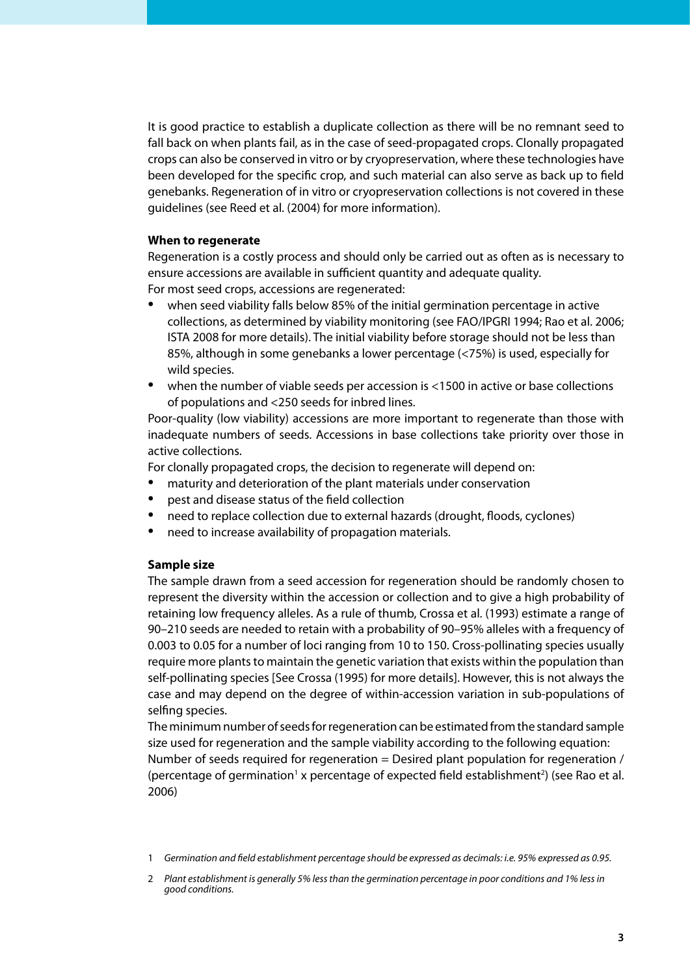It is good practice to establish a duplicate collection as there will be no remnant seed to fall back on when plants fail, as in the case of seed-propagated crops. Clonally propagated crops can also be conserved in vitro or by cryopreservation, where these technologies have been developed for the specific crop, and such material can also serve as back up to field genebanks. Regeneration of in vitro or cryopreservation collections is not covered in these guidelines (see Reed et al. (2004) for more information).

#### **When to regenerate**

Regeneration is a costly process and should only be carried out as often as is necessary to ensure accessions are available in sufficient quantity and adequate quality.

For most seed crops, accessions are regenerated:

- when seed viability falls below 85% of the initial germination percentage in active collections, as determined by viability monitoring (see FAO/IPGRI 1994; Rao et al. 2006; ISTA 2008 for more details). The initial viability before storage should not be less than 85%, although in some genebanks a lower percentage (<75%) is used, especially for wild species. •
- when the number of viable seeds per accession is <1500 in active or base collections of populations and <250 seeds for inbred lines. •

Poor-quality (low viability) accessions are more important to regenerate than those with inadequate numbers of seeds. Accessions in base collections take priority over those in active collections.

For clonally propagated crops, the decision to regenerate will depend on:

- maturity and deterioration of the plant materials under conservation •
- pest and disease status of the field collection •
- need to replace collection due to external hazards (drought, floods, cyclones) •
- need to increase availability of propagation materials. •

#### **Sample size**

The sample drawn from a seed accession for regeneration should be randomly chosen to represent the diversity within the accession or collection and to give a high probability of retaining low frequency alleles. As a rule of thumb, Crossa et al. (1993) estimate a range of 90–210 seeds are needed to retain with a probability of 90–95% alleles with a frequency of 0.003 to 0.05 for a number of loci ranging from 10 to 150. Cross-pollinating species usually require more plants to maintain the genetic variation that exists within the population than self-pollinating species [See Crossa (1995) for more details]. However, this is not always the case and may depend on the degree of within-accession variation in sub-populations of selfing species.

The minimum number of seeds for regeneration can be estimated from the standard sample size used for regeneration and the sample viability according to the following equation: Number of seeds required for regeneration = Desired plant population for regeneration / (percentage of germination<sup>1</sup> x percentage of expected field establishment<sup>2</sup>) (see Rao et al. 2006)

*Germination and field establishment percentage should be expressed as decimals: i.e. 95% expressed as 0.95.* 1

*Plant establishment is generally 5% less than the germination percentage in poor conditions and 1% less in*  2 *good conditions.*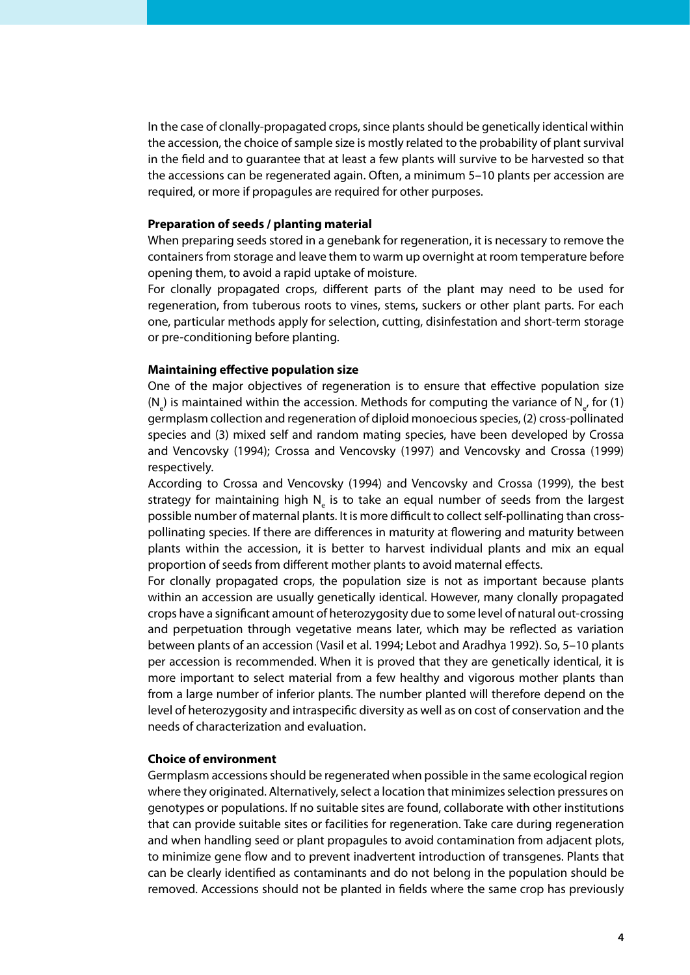In the case of clonally-propagated crops, since plants should be genetically identical within the accession, the choice of sample size is mostly related to the probability of plant survival in the field and to guarantee that at least a few plants will survive to be harvested so that the accessions can be regenerated again. Often, a minimum 5–10 plants per accession are required, or more if propagules are required for other purposes.

#### **Preparation of seeds / planting material**

When preparing seeds stored in a genebank for regeneration, it is necessary to remove the containers from storage and leave them to warm up overnight at room temperature before opening them, to avoid a rapid uptake of moisture.

For clonally propagated crops, different parts of the plant may need to be used for regeneration, from tuberous roots to vines, stems, suckers or other plant parts. For each one, particular methods apply for selection, cutting, disinfestation and short-term storage or pre-conditioning before planting.

#### **Maintaining effective population size**

One of the major objectives of regeneration is to ensure that effective population size  $(N_{\text{e}})$  is maintained within the accession. Methods for computing the variance of  $N_{\text{e}}$ , for (1) germplasm collection and regeneration of diploid monoecious species, (2) cross-pollinated species and (3) mixed self and random mating species, have been developed by Crossa and Vencovsky (1994); Crossa and Vencovsky (1997) and Vencovsky and Crossa (1999) respectively.

According to Crossa and Vencovsky (1994) and Vencovsky and Crossa (1999), the best strategy for maintaining high  $N_{\text{e}}$  is to take an equal number of seeds from the largest possible number of maternal plants. It is more difficult to collect self-pollinating than crosspollinating species. If there are differences in maturity at flowering and maturity between plants within the accession, it is better to harvest individual plants and mix an equal proportion of seeds from different mother plants to avoid maternal effects.

For clonally propagated crops, the population size is not as important because plants within an accession are usually genetically identical. However, many clonally propagated crops have a significant amount of heterozygosity due to some level of natural out-crossing and perpetuation through vegetative means later, which may be reflected as variation between plants of an accession (Vasil et al. 1994; Lebot and Aradhya 1992). So, 5–10 plants per accession is recommended. When it is proved that they are genetically identical, it is more important to select material from a few healthy and vigorous mother plants than from a large number of inferior plants. The number planted will therefore depend on the level of heterozygosity and intraspecific diversity as well as on cost of conservation and the needs of characterization and evaluation.

#### **Choice of environment**

Germplasm accessions should be regenerated when possible in the same ecological region where they originated. Alternatively, select a location that minimizes selection pressures on genotypes or populations. If no suitable sites are found, collaborate with other institutions that can provide suitable sites or facilities for regeneration. Take care during regeneration and when handling seed or plant propagules to avoid contamination from adjacent plots, to minimize gene flow and to prevent inadvertent introduction of transgenes. Plants that can be clearly identified as contaminants and do not belong in the population should be removed. Accessions should not be planted in fields where the same crop has previously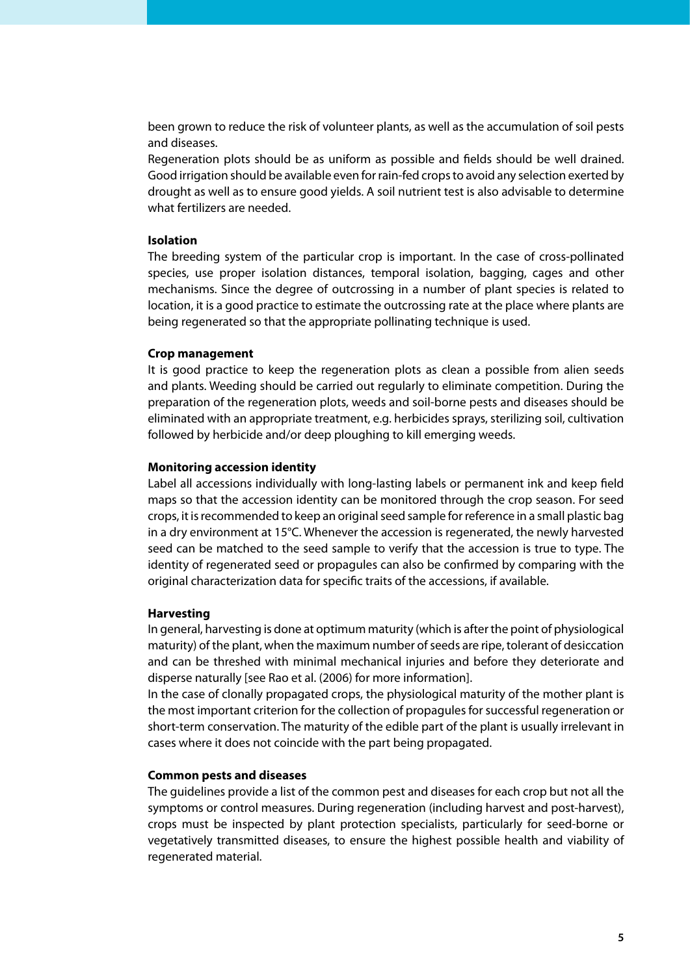been grown to reduce the risk of volunteer plants, as well as the accumulation of soil pests and diseases.

Regeneration plots should be as uniform as possible and fields should be well drained. Good irrigation should be available even for rain-fed crops to avoid any selection exerted by drought as well as to ensure good yields. A soil nutrient test is also advisable to determine what fertilizers are needed.

#### **Isolation**

The breeding system of the particular crop is important. In the case of cross-pollinated species, use proper isolation distances, temporal isolation, bagging, cages and other mechanisms. Since the degree of outcrossing in a number of plant species is related to location, it is a good practice to estimate the outcrossing rate at the place where plants are being regenerated so that the appropriate pollinating technique is used.

#### **Crop management**

It is good practice to keep the regeneration plots as clean a possible from alien seeds and plants. Weeding should be carried out regularly to eliminate competition. During the preparation of the regeneration plots, weeds and soil-borne pests and diseases should be eliminated with an appropriate treatment, e.g. herbicides sprays, sterilizing soil, cultivation followed by herbicide and/or deep ploughing to kill emerging weeds.

#### **Monitoring accession identity**

Label all accessions individually with long-lasting labels or permanent ink and keep field maps so that the accession identity can be monitored through the crop season. For seed crops, it is recommended to keep an original seed sample for reference in a small plastic bag in a dry environment at 15°C. Whenever the accession is regenerated, the newly harvested seed can be matched to the seed sample to verify that the accession is true to type. The identity of regenerated seed or propagules can also be confirmed by comparing with the original characterization data for specific traits of the accessions, if available.

#### **Harvesting**

In general, harvesting is done at optimum maturity (which is after the point of physiological maturity) of the plant, when the maximum number of seeds are ripe, tolerant of desiccation and can be threshed with minimal mechanical injuries and before they deteriorate and disperse naturally [see Rao et al. (2006) for more information].

In the case of clonally propagated crops, the physiological maturity of the mother plant is the most important criterion for the collection of propagules for successful regeneration or short-term conservation. The maturity of the edible part of the plant is usually irrelevant in cases where it does not coincide with the part being propagated.

#### **Common pests and diseases**

The guidelines provide a list of the common pest and diseases for each crop but not all the symptoms or control measures. During regeneration (including harvest and post-harvest), crops must be inspected by plant protection specialists, particularly for seed-borne or vegetatively transmitted diseases, to ensure the highest possible health and viability of regenerated material.